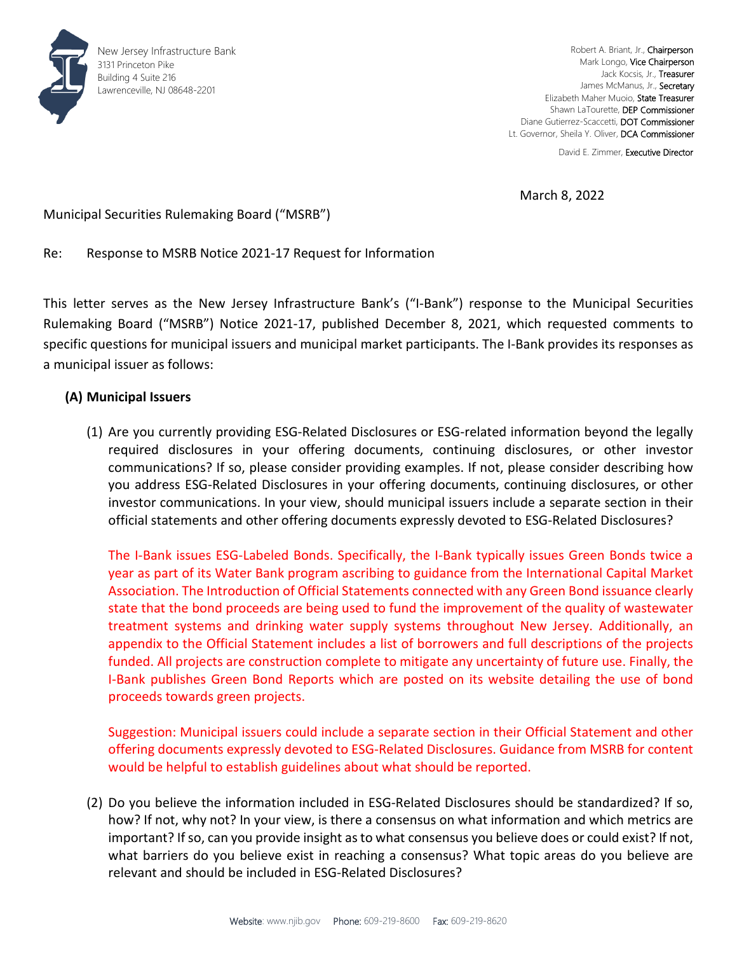

Robert A. Briant, Jr., Chairperson Mark Longo, Vice Chairperson Jack Kocsis, Jr., Treasurer James McManus, Jr., Secretary Elizabeth Maher Muoio, State Treasurer Shawn LaTourette, DEP Commissioner Diane Gutierrez-Scaccetti, DOT Commissioner Lt. Governor, Sheila Y. Oliver, DCA Commissioner

David E. Zimmer, Executive Director

March 8, 2022

Municipal Securities Rulemaking Board ("MSRB")

Re: Response to MSRB Notice 2021-17 Request for Information

This letter serves as the New Jersey Infrastructure Bank's ("I-Bank") response to the Municipal Securities Rulemaking Board ("MSRB") Notice 2021-17, published December 8, 2021, which requested comments to specific questions for municipal issuers and municipal market participants. The I-Bank provides its responses as a municipal issuer as follows:

## **(A) Municipal Issuers**

(1) Are you currently providing ESG-Related Disclosures or ESG-related information beyond the legally required disclosures in your offering documents, continuing disclosures, or other investor communications? If so, please consider providing examples. If not, please consider describing how you address ESG-Related Disclosures in your offering documents, continuing disclosures, or other investor communications. In your view, should municipal issuers include a separate section in their official statements and other offering documents expressly devoted to ESG-Related Disclosures?

The I-Bank issues ESG-Labeled Bonds. Specifically, the I-Bank typically issues Green Bonds twice a year as part of its Water Bank program ascribing to guidance from the International Capital Market Association. The Introduction of Official Statements connected with any Green Bond issuance clearly state that the bond proceeds are being used to fund the improvement of the quality of wastewater treatment systems and drinking water supply systems throughout New Jersey. Additionally, an appendix to the Official Statement includes a list of borrowers and full descriptions of the projects funded. All projects are construction complete to mitigate any uncertainty of future use. Finally, the I-Bank publishes Green Bond Reports which are posted on its website detailing the use of bond proceeds towards green projects.

Suggestion: Municipal issuers could include a separate section in their Official Statement and other offering documents expressly devoted to ESG-Related Disclosures. Guidance from MSRB for content would be helpful to establish guidelines about what should be reported.

(2) Do you believe the information included in ESG-Related Disclosures should be standardized? If so, how? If not, why not? In your view, is there a consensus on what information and which metrics are important? If so, can you provide insight as to what consensus you believe does or could exist? If not, what barriers do you believe exist in reaching a consensus? What topic areas do you believe are relevant and should be included in ESG-Related Disclosures?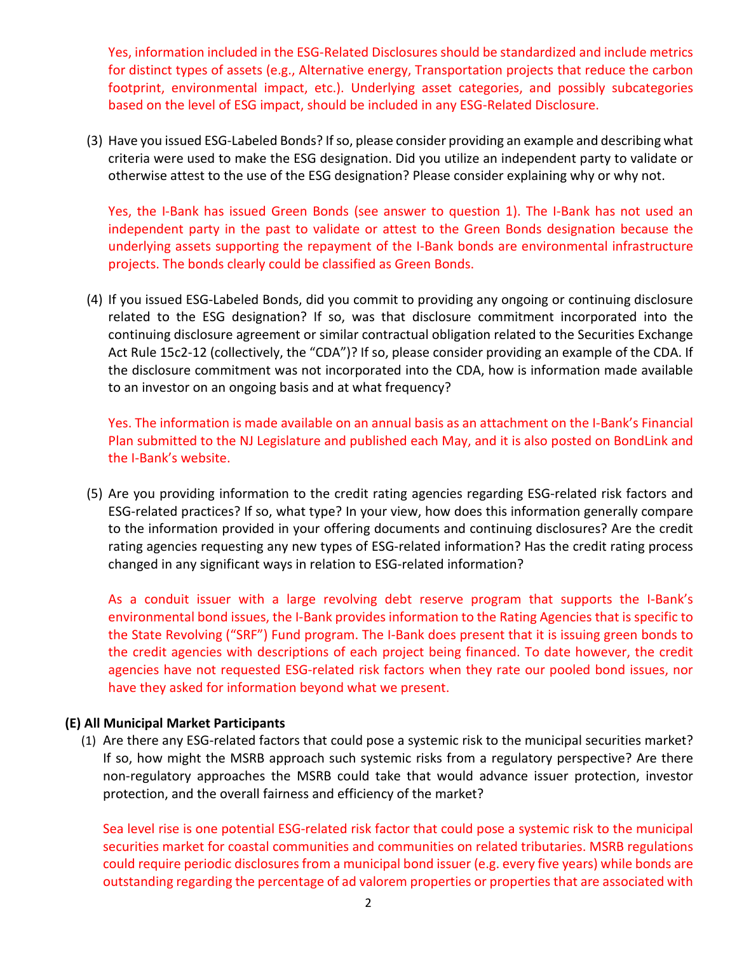Yes, information included in the ESG-Related Disclosures should be standardized and include metrics for distinct types of assets (e.g., Alternative energy, Transportation projects that reduce the carbon footprint, environmental impact, etc.). Underlying asset categories, and possibly subcategories based on the level of ESG impact, should be included in any ESG-Related Disclosure.

(3) Have you issued ESG-Labeled Bonds? If so, please consider providing an example and describing what criteria were used to make the ESG designation. Did you utilize an independent party to validate or otherwise attest to the use of the ESG designation? Please consider explaining why or why not.

Yes, the I-Bank has issued Green Bonds (see answer to question 1). The I-Bank has not used an independent party in the past to validate or attest to the Green Bonds designation because the underlying assets supporting the repayment of the I-Bank bonds are environmental infrastructure projects. The bonds clearly could be classified as Green Bonds.

(4) If you issued ESG-Labeled Bonds, did you commit to providing any ongoing or continuing disclosure related to the ESG designation? If so, was that disclosure commitment incorporated into the continuing disclosure agreement or similar contractual obligation related to the Securities Exchange Act Rule 15c2-12 (collectively, the "CDA")? If so, please consider providing an example of the CDA. If the disclosure commitment was not incorporated into the CDA, how is information made available to an investor on an ongoing basis and at what frequency?

Yes. The information is made available on an annual basis as an attachment on the I-Bank's Financial Plan submitted to the NJ Legislature and published each May, and it is also posted on BondLink and the I-Bank's website.

(5) Are you providing information to the credit rating agencies regarding ESG-related risk factors and ESG-related practices? If so, what type? In your view, how does this information generally compare to the information provided in your offering documents and continuing disclosures? Are the credit rating agencies requesting any new types of ESG-related information? Has the credit rating process changed in any significant ways in relation to ESG-related information?

As a conduit issuer with a large revolving debt reserve program that supports the I-Bank's environmental bond issues, the I-Bank provides information to the Rating Agencies that is specific to the State Revolving ("SRF") Fund program. The I-Bank does present that it is issuing green bonds to the credit agencies with descriptions of each project being financed. To date however, the credit agencies have not requested ESG-related risk factors when they rate our pooled bond issues, nor have they asked for information beyond what we present.

## **(E) All Municipal Market Participants**

(1) Are there any ESG-related factors that could pose a systemic risk to the municipal securities market? If so, how might the MSRB approach such systemic risks from a regulatory perspective? Are there non-regulatory approaches the MSRB could take that would advance issuer protection, investor protection, and the overall fairness and efficiency of the market?

Sea level rise is one potential ESG-related risk factor that could pose a systemic risk to the municipal securities market for coastal communities and communities on related tributaries. MSRB regulations could require periodic disclosures from a municipal bond issuer (e.g. every five years) while bonds are outstanding regarding the percentage of ad valorem properties or properties that are associated with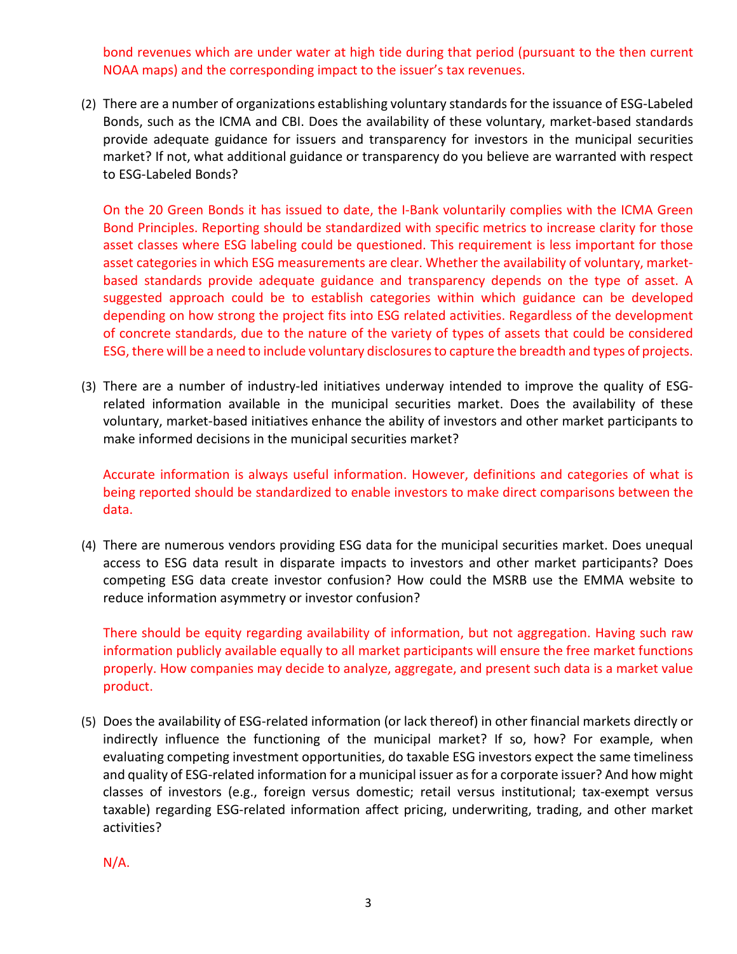bond revenues which are under water at high tide during that period (pursuant to the then current NOAA maps) and the corresponding impact to the issuer's tax revenues.

(2) There are a number of organizations establishing voluntary standards for the issuance of ESG-Labeled Bonds, such as the ICMA and CBI. Does the availability of these voluntary, market-based standards provide adequate guidance for issuers and transparency for investors in the municipal securities market? If not, what additional guidance or transparency do you believe are warranted with respect to ESG-Labeled Bonds?

On the 20 Green Bonds it has issued to date, the I-Bank voluntarily complies with the ICMA Green Bond Principles. Reporting should be standardized with specific metrics to increase clarity for those asset classes where ESG labeling could be questioned. This requirement is less important for those asset categories in which ESG measurements are clear. Whether the availability of voluntary, marketbased standards provide adequate guidance and transparency depends on the type of asset. A suggested approach could be to establish categories within which guidance can be developed depending on how strong the project fits into ESG related activities. Regardless of the development of concrete standards, due to the nature of the variety of types of assets that could be considered ESG, there will be a need to include voluntary disclosures to capture the breadth and types of projects.

(3) There are a number of industry-led initiatives underway intended to improve the quality of ESGrelated information available in the municipal securities market. Does the availability of these voluntary, market-based initiatives enhance the ability of investors and other market participants to make informed decisions in the municipal securities market?

Accurate information is always useful information. However, definitions and categories of what is being reported should be standardized to enable investors to make direct comparisons between the data.

(4) There are numerous vendors providing ESG data for the municipal securities market. Does unequal access to ESG data result in disparate impacts to investors and other market participants? Does competing ESG data create investor confusion? How could the MSRB use the EMMA website to reduce information asymmetry or investor confusion?

There should be equity regarding availability of information, but not aggregation. Having such raw information publicly available equally to all market participants will ensure the free market functions properly. How companies may decide to analyze, aggregate, and present such data is a market value product.

(5) Does the availability of ESG-related information (or lack thereof) in other financial markets directly or indirectly influence the functioning of the municipal market? If so, how? For example, when evaluating competing investment opportunities, do taxable ESG investors expect the same timeliness and quality of ESG-related information for a municipal issuer as for a corporate issuer? And how might classes of investors (e.g., foreign versus domestic; retail versus institutional; tax-exempt versus taxable) regarding ESG-related information affect pricing, underwriting, trading, and other market activities?

N/A.